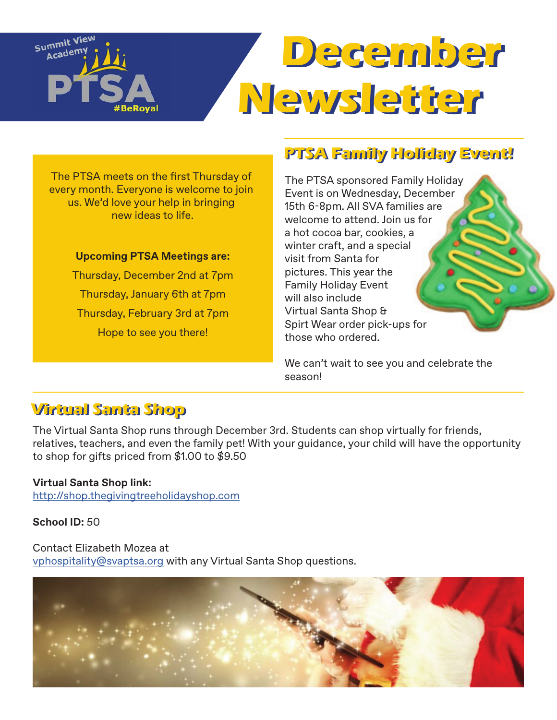# Summit View  **December December**  Academ **Newsletter Newsletter**

The PTSA meets on the first Thursday of every month. Everyone is welcome to join us. We'd love your help in bringing new ideas to life.

#### **Upcoming PTSA Meetings are:**

Thursday, December 2nd at 7pm Thursday, January 6th at 7pm Thursday, February 3rd at 7pm Hope to see you there!

# **PTSA Family Holiday Event! PTSA Family Holiday Event!**

The PTSA sponsored Family Holiday Event is on Wednesday, December 15th 6-8pm. All SVA families are welcome to attend. Join us for a hot cocoa bar, cookies, a winter craft, and a special visit from Santa for pictures. This year the Family Holiday Event will also include Virtual Santa Shop & Spirt Wear order pick-ups for those who ordered.

We can't wait to see you and celebrate the season!

# **Virtual Santa Shop Virtual Santa Shop**

The Virtual Santa Shop runs through December 3rd. Students can shop virtually for friends, relatives, teachers, and even the family pet! With your guidance, your child will have the opportunity to shop for gifts priced from \$1.00 to \$9.50

### **Virtual Santa Shop link:**

<http://shop.thegivingtreeholidayshop.com>

#### **School ID:** 50

#### Contact Elizabeth Mozea at

[vphospitality@svaptsa.org](mailto:vphospitality%40svaptsa.org?subject=) with any Virtual Santa Shop questions.